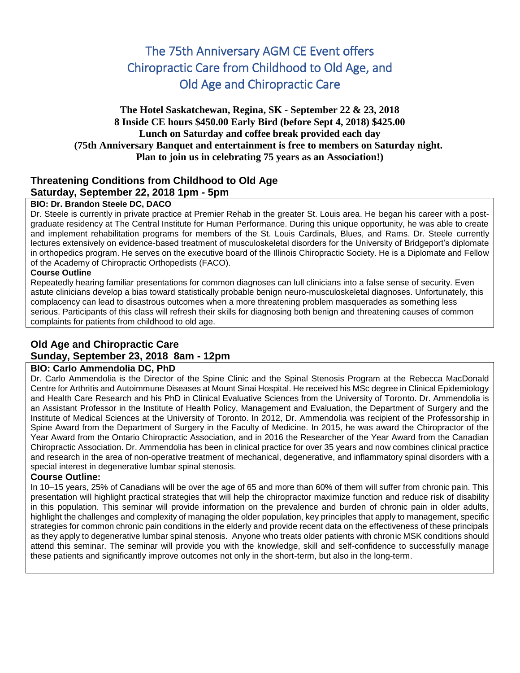# The 75th Anniversary AGM CE Event offers Chiropractic Care from Childhood to Old Age, and Old Age and Chiropractic Care

## **The Hotel Saskatchewan, Regina, SK - September 22 & 23, 2018 8 Inside CE hours \$450.00 Early Bird (before Sept 4, 2018) \$425.00 Lunch on Saturday and coffee break provided each day (75th Anniversary Banquet and entertainment is free to members on Saturday night. Plan to join us in celebrating 75 years as an Association!)**

## **Threatening Conditions from Childhood to Old Age Saturday, September 22, 2018 1pm - 5pm**

#### **BIO: Dr. Brandon Steele DC, DACO**

Dr. Steele is currently in private practice at Premier Rehab in the greater St. Louis area. He began his career with a postgraduate residency at The Central Institute for Human Performance. During this unique opportunity, he was able to create and implement rehabilitation programs for members of the St. Louis Cardinals, Blues, and Rams. Dr. Steele currently lectures extensively on evidence-based treatment of musculoskeletal disorders for the University of Bridgeport's diplomate in orthopedics program. He serves on the executive board of the Illinois Chiropractic Society. He is a Diplomate and Fellow of the Academy of Chiropractic Orthopedists (FACO).

### **Course Outline**

Repeatedly hearing familiar presentations for common diagnoses can lull clinicians into a false sense of security. Even astute clinicians develop a bias toward statistically probable benign neuro-musculoskeletal diagnoses. Unfortunately, this complacency can lead to disastrous outcomes when a more threatening problem masquerades as something less serious. Participants of this class will refresh their skills for diagnosing both benign and threatening causes of common complaints for patients from childhood to old age.

## **Old Age and Chiropractic Care Sunday, September 23, 2018 8am - 12pm**

## **BIO: Carlo Ammendolia DC, PhD**

Dr. Carlo Ammendolia is the Director of the Spine Clinic and the Spinal Stenosis Program at the Rebecca MacDonald Centre for Arthritis and Autoimmune Diseases at Mount Sinai Hospital. He received his MSc degree in Clinical Epidemiology and Health Care Research and his PhD in Clinical Evaluative Sciences from the University of Toronto. Dr. Ammendolia is an Assistant Professor in the Institute of Health Policy, Management and Evaluation, the Department of Surgery and the Institute of Medical Sciences at the University of Toronto. In 2012, Dr. Ammendolia was recipient of the Professorship in Spine Award from the Department of Surgery in the Faculty of Medicine. In 2015, he was award the Chiropractor of the Year Award from the Ontario Chiropractic Association, and in 2016 the Researcher of the Year Award from the Canadian Chiropractic Association. Dr. Ammendolia has been in clinical practice for over 35 years and now combines clinical practice and research in the area of non-operative treatment of mechanical, degenerative, and inflammatory spinal disorders with a special interest in degenerative lumbar spinal stenosis.

## **Course Outline:**

In 10–15 years, 25% of Canadians will be over the age of 65 and more than 60% of them will suffer from chronic pain. This presentation will highlight practical strategies that will help the chiropractor maximize function and reduce risk of disability in this population. This seminar will provide information on the prevalence and burden of chronic pain in older adults, highlight the challenges and complexity of managing the older population, key principles that apply to management, specific strategies for common chronic pain conditions in the elderly and provide recent data on the effectiveness of these principals as they apply to degenerative lumbar spinal stenosis. Anyone who treats older patients with chronic MSK conditions should attend this seminar. The seminar will provide you with the knowledge, skill and self-confidence to successfully manage these patients and significantly improve outcomes not only in the short-term, but also in the long-term.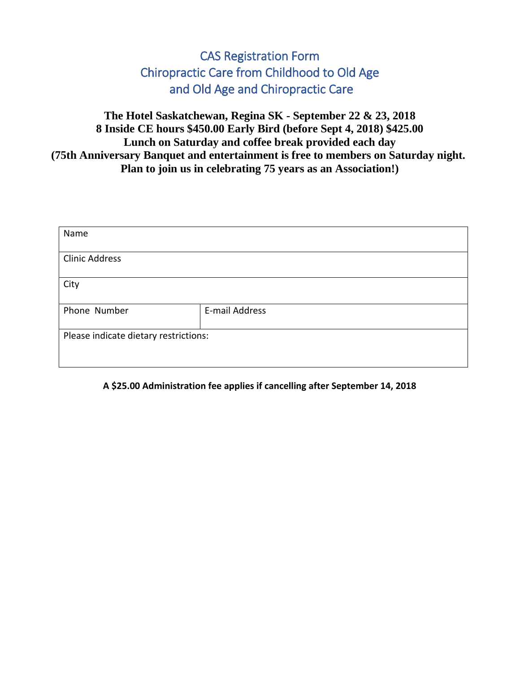# CAS Registration Form Chiropractic Care from Childhood to Old Age and Old Age and Chiropractic Care

**The Hotel Saskatchewan, Regina SK - September 22 & 23, 2018 8 Inside CE hours \$450.00 Early Bird (before Sept 4, 2018) \$425.00 Lunch on Saturday and coffee break provided each day (75th Anniversary Banquet and entertainment is free to members on Saturday night. Plan to join us in celebrating 75 years as an Association!)**

| Name                                  |                |  |
|---------------------------------------|----------------|--|
| <b>Clinic Address</b>                 |                |  |
| City                                  |                |  |
| Phone Number                          | E-mail Address |  |
| Please indicate dietary restrictions: |                |  |

## **A \$25.00 Administration fee applies if cancelling after September 14, 2018**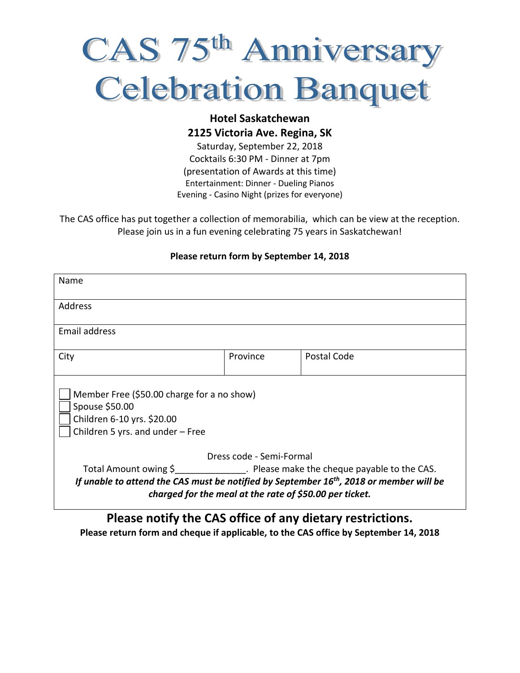# CAS 75<sup>th</sup> Anniversary **Celebration Banquet**

## **Hotel Saskatchewan 2125 Victoria Ave. Regina, SK**

Saturday, September 22, 2018 Cocktails 6:30 PM - Dinner at 7pm (presentation of Awards at this time) Entertainment: Dinner - Dueling Pianos Evening - Casino Night (prizes for everyone)

The CAS office has put together a collection of memorabilia, which can be view at the reception. Please join us in a fun evening celebrating 75 years in Saskatchewan!

## **Please return form by September 14, 2018**

| Name                                                                                                                                                                                                                               |          |             |  |  |  |
|------------------------------------------------------------------------------------------------------------------------------------------------------------------------------------------------------------------------------------|----------|-------------|--|--|--|
| Address                                                                                                                                                                                                                            |          |             |  |  |  |
| <b>Email address</b>                                                                                                                                                                                                               |          |             |  |  |  |
| City                                                                                                                                                                                                                               | Province | Postal Code |  |  |  |
| Member Free (\$50.00 charge for a no show)<br>Spouse \$50.00<br>Children 6-10 yrs. \$20.00<br>Children 5 yrs. and under $-$ Free                                                                                                   |          |             |  |  |  |
| Dress code - Semi-Formal                                                                                                                                                                                                           |          |             |  |  |  |
| Total Amount owing \$ Please make the cheque payable to the CAS.<br>If unable to attend the CAS must be notified by September 16 <sup>th</sup> , 2018 or member will be<br>charged for the meal at the rate of \$50.00 per ticket. |          |             |  |  |  |
| Please notify the CAS office of any dietary restrictions.                                                                                                                                                                          |          |             |  |  |  |

# **Please return form and cheque if applicable, to the CAS office by September 14, 2018**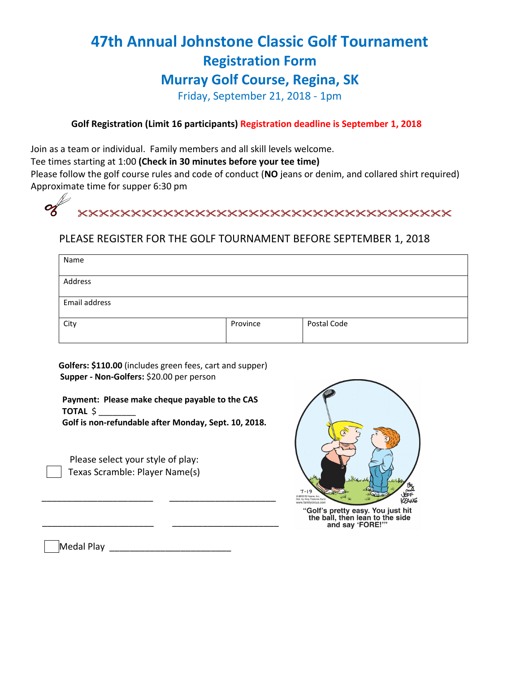# **47th Annual Johnstone Classic Golf Tournament Registration Form Murray Golf Course, Regina, SK**

Friday, September 21, 2018 - 1pm

## **Golf Registration (Limit 16 participants) Registration deadline is September 1, 2018**

Join as a team or individual. Family members and all skill levels welcome.

Tee times starting at 1:00 **(Check in 30 minutes before your tee time)**

 Please follow the golf course rules and code of conduct (**NO** jeans or denim, and collared shirt required) Approximate time for supper 6:30 pm

| XXXXXXXXXXXXXXXXXXXXXXXXXXXXXXXXXXX |
|-------------------------------------|
|                                     |

## PLEASE REGISTER FOR THE GOLF TOURNAMENT BEFORE SEPTEMBER 1, 2018

| Name          |          |             |  |  |
|---------------|----------|-------------|--|--|
| Address       |          |             |  |  |
| Email address |          |             |  |  |
| City          | Province | Postal Code |  |  |
|               |          |             |  |  |

 **Golfers: \$110.00** (includes green fees, cart and supper)  **Supper - Non-Golfers:** \$20.00 per person

 **Payment: Please make cheque payable to the CAS TOTAL** \$ \_\_\_\_\_\_\_\_  **Golf is non-refundable after Monday, Sept. 10, 2018.**

\_\_\_\_\_\_\_\_\_\_\_\_\_\_\_\_\_\_\_\_\_\_ \_\_\_\_\_\_\_\_\_\_\_\_\_\_\_\_\_\_\_\_\_

\_\_\_\_\_\_\_\_\_\_\_\_\_\_\_\_\_\_\_\_\_\_ \_\_\_\_\_\_\_\_\_\_\_\_\_\_\_\_\_\_\_\_\_

 Please select your style of play: Texas Scramble: Player Name(s)



"Golf's pretty easy. You just hit the ball, then lean to the side<br>and say 'FORE!'"

Medal Play

D -